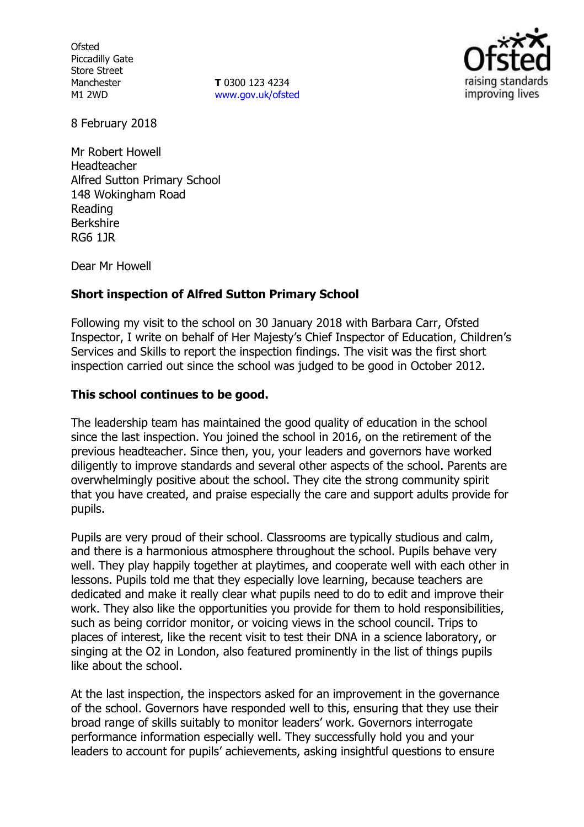**Ofsted** Piccadilly Gate Store Street Manchester M1 2WD

**T** 0300 123 4234 www.gov.uk/ofsted



8 February 2018

Mr Robert Howell Headteacher Alfred Sutton Primary School 148 Wokingham Road Reading Berkshire RG6 1JR

Dear Mr Howell

## **Short inspection of Alfred Sutton Primary School**

Following my visit to the school on 30 January 2018 with Barbara Carr, Ofsted Inspector, I write on behalf of Her Majesty's Chief Inspector of Education, Children's Services and Skills to report the inspection findings. The visit was the first short inspection carried out since the school was judged to be good in October 2012.

## **This school continues to be good.**

The leadership team has maintained the good quality of education in the school since the last inspection. You joined the school in 2016, on the retirement of the previous headteacher. Since then, you, your leaders and governors have worked diligently to improve standards and several other aspects of the school. Parents are overwhelmingly positive about the school. They cite the strong community spirit that you have created, and praise especially the care and support adults provide for pupils.

Pupils are very proud of their school. Classrooms are typically studious and calm, and there is a harmonious atmosphere throughout the school. Pupils behave very well. They play happily together at playtimes, and cooperate well with each other in lessons. Pupils told me that they especially love learning, because teachers are dedicated and make it really clear what pupils need to do to edit and improve their work. They also like the opportunities you provide for them to hold responsibilities, such as being corridor monitor, or voicing views in the school council. Trips to places of interest, like the recent visit to test their DNA in a science laboratory, or singing at the O2 in London, also featured prominently in the list of things pupils like about the school.

At the last inspection, the inspectors asked for an improvement in the governance of the school. Governors have responded well to this, ensuring that they use their broad range of skills suitably to monitor leaders' work. Governors interrogate performance information especially well. They successfully hold you and your leaders to account for pupils' achievements, asking insightful questions to ensure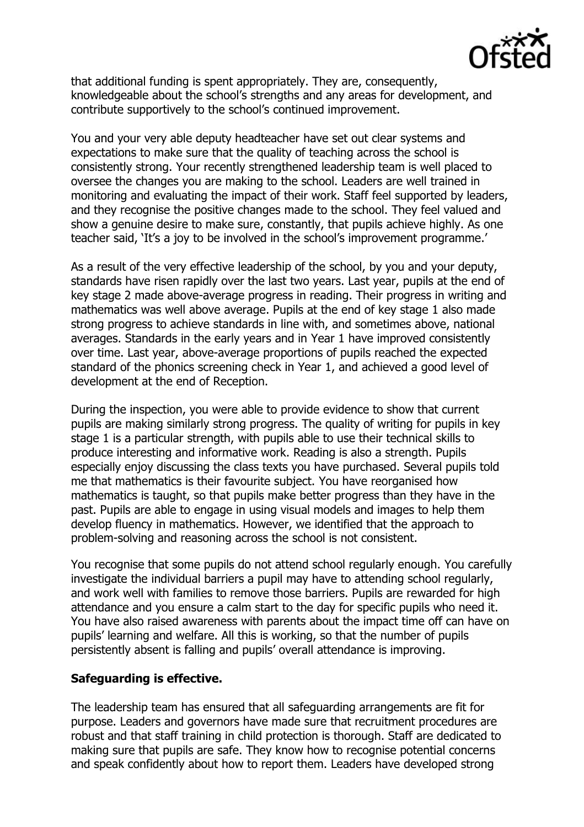

that additional funding is spent appropriately. They are, consequently, knowledgeable about the school's strengths and any areas for development, and contribute supportively to the school's continued improvement.

You and your very able deputy headteacher have set out clear systems and expectations to make sure that the quality of teaching across the school is consistently strong. Your recently strengthened leadership team is well placed to oversee the changes you are making to the school. Leaders are well trained in monitoring and evaluating the impact of their work. Staff feel supported by leaders, and they recognise the positive changes made to the school. They feel valued and show a genuine desire to make sure, constantly, that pupils achieve highly. As one teacher said, 'It's a joy to be involved in the school's improvement programme.'

As a result of the very effective leadership of the school, by you and your deputy, standards have risen rapidly over the last two years. Last year, pupils at the end of key stage 2 made above-average progress in reading. Their progress in writing and mathematics was well above average. Pupils at the end of key stage 1 also made strong progress to achieve standards in line with, and sometimes above, national averages. Standards in the early years and in Year 1 have improved consistently over time. Last year, above-average proportions of pupils reached the expected standard of the phonics screening check in Year 1, and achieved a good level of development at the end of Reception.

During the inspection, you were able to provide evidence to show that current pupils are making similarly strong progress. The quality of writing for pupils in key stage 1 is a particular strength, with pupils able to use their technical skills to produce interesting and informative work. Reading is also a strength. Pupils especially enjoy discussing the class texts you have purchased. Several pupils told me that mathematics is their favourite subject. You have reorganised how mathematics is taught, so that pupils make better progress than they have in the past. Pupils are able to engage in using visual models and images to help them develop fluency in mathematics. However, we identified that the approach to problem-solving and reasoning across the school is not consistent.

You recognise that some pupils do not attend school regularly enough. You carefully investigate the individual barriers a pupil may have to attending school regularly, and work well with families to remove those barriers. Pupils are rewarded for high attendance and you ensure a calm start to the day for specific pupils who need it. You have also raised awareness with parents about the impact time off can have on pupils' learning and welfare. All this is working, so that the number of pupils persistently absent is falling and pupils' overall attendance is improving.

## **Safeguarding is effective.**

The leadership team has ensured that all safeguarding arrangements are fit for purpose. Leaders and governors have made sure that recruitment procedures are robust and that staff training in child protection is thorough. Staff are dedicated to making sure that pupils are safe. They know how to recognise potential concerns and speak confidently about how to report them. Leaders have developed strong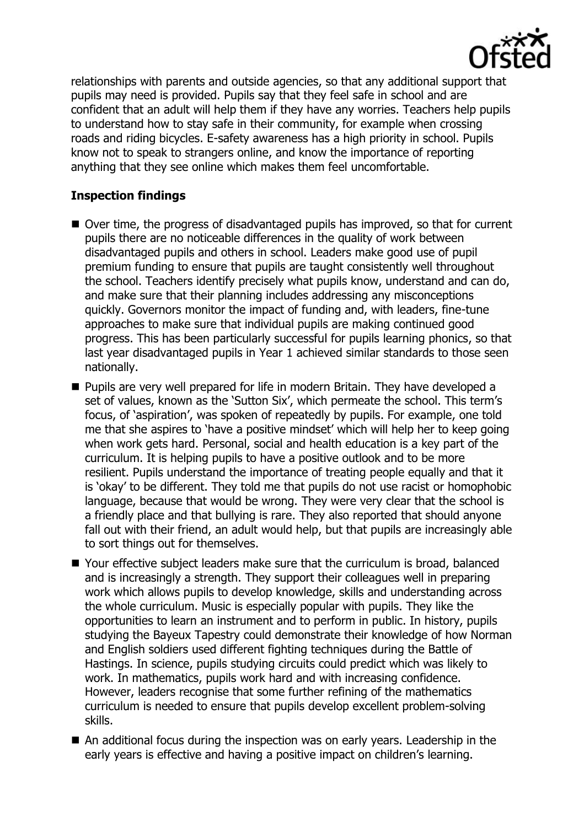

relationships with parents and outside agencies, so that any additional support that pupils may need is provided. Pupils say that they feel safe in school and are confident that an adult will help them if they have any worries. Teachers help pupils to understand how to stay safe in their community, for example when crossing roads and riding bicycles. E-safety awareness has a high priority in school. Pupils know not to speak to strangers online, and know the importance of reporting anything that they see online which makes them feel uncomfortable.

# **Inspection findings**

- Over time, the progress of disadvantaged pupils has improved, so that for current pupils there are no noticeable differences in the quality of work between disadvantaged pupils and others in school. Leaders make good use of pupil premium funding to ensure that pupils are taught consistently well throughout the school. Teachers identify precisely what pupils know, understand and can do, and make sure that their planning includes addressing any misconceptions quickly. Governors monitor the impact of funding and, with leaders, fine-tune approaches to make sure that individual pupils are making continued good progress. This has been particularly successful for pupils learning phonics, so that last year disadvantaged pupils in Year 1 achieved similar standards to those seen nationally.
- **Pupils are very well prepared for life in modern Britain. They have developed a** set of values, known as the 'Sutton Six', which permeate the school. This term's focus, of 'aspiration', was spoken of repeatedly by pupils. For example, one told me that she aspires to 'have a positive mindset' which will help her to keep going when work gets hard. Personal, social and health education is a key part of the curriculum. It is helping pupils to have a positive outlook and to be more resilient. Pupils understand the importance of treating people equally and that it is 'okay' to be different. They told me that pupils do not use racist or homophobic language, because that would be wrong. They were very clear that the school is a friendly place and that bullying is rare. They also reported that should anyone fall out with their friend, an adult would help, but that pupils are increasingly able to sort things out for themselves.
- Your effective subiect leaders make sure that the curriculum is broad, balanced and is increasingly a strength. They support their colleagues well in preparing work which allows pupils to develop knowledge, skills and understanding across the whole curriculum. Music is especially popular with pupils. They like the opportunities to learn an instrument and to perform in public. In history, pupils studying the Bayeux Tapestry could demonstrate their knowledge of how Norman and English soldiers used different fighting techniques during the Battle of Hastings. In science, pupils studying circuits could predict which was likely to work. In mathematics, pupils work hard and with increasing confidence. However, leaders recognise that some further refining of the mathematics curriculum is needed to ensure that pupils develop excellent problem-solving skills.
- An additional focus during the inspection was on early years. Leadership in the early years is effective and having a positive impact on children's learning.